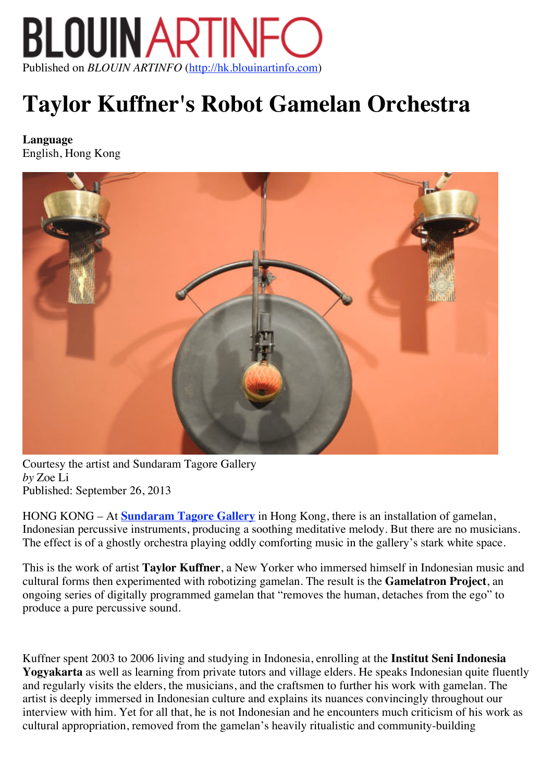

# **Taylor Kuffner's Robot Gamelan Orchestra**

**Language** English, Hong Kong



Courtesy the artist and Sundaram Tagore Gallery *by* Zoe Li Published: September 26, 2013

HONG KONG – At **Sundaram Tagore Gallery** in Hong Kong, there is an installation of gamelan, Indonesian percussive instruments, producing a soothing meditative melody. But there are no musicians. The effect is of a ghostly orchestra playing oddly comforting music in the gallery's stark white space.

This is the work of artist **Taylor Kuffner**, a New Yorker who immersed himself in Indonesian music and cultural forms then experimented with robotizing gamelan. The result is the **Gamelatron Project**, an ongoing series of digitally programmed gamelan that "removes the human, detaches from the ego" to produce a pure percussive sound.

Kuffner spent 2003 to 2006 living and studying in Indonesia, enrolling at the **Institut Seni Indonesia Yogyakarta** as well as learning from private tutors and village elders. He speaks Indonesian quite fluently and regularly visits the elders, the musicians, and the craftsmen to further his work with gamelan. The artist is deeply immersed in Indonesian culture and explains its nuances convincingly throughout our interview with him. Yet for all that, he is not Indonesian and he encounters much criticism of his work as cultural appropriation, removed from the gamelan's heavily ritualistic and community-building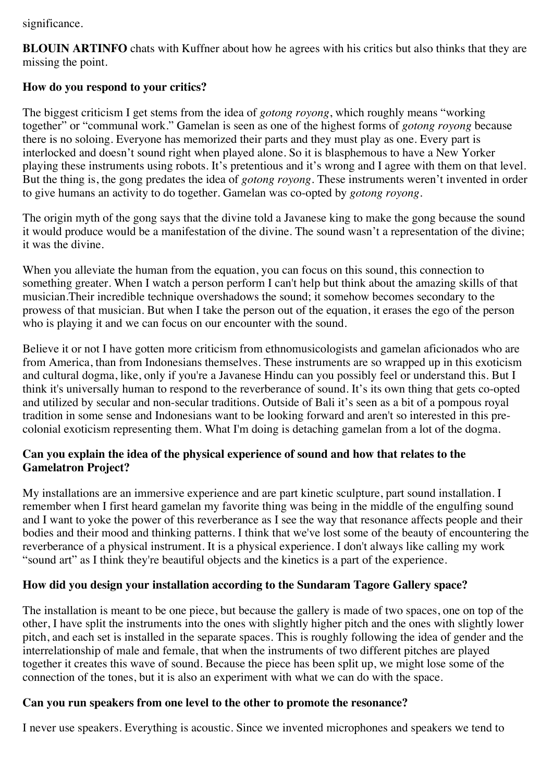significance.

**BLOUIN ARTINFO** chats with Kuffner about how he agrees with his critics but also thinks that they are missing the point.

# **How do you respond to your critics?**

The biggest criticism I get stems from the idea of *gotong royong*, which roughly means "working together" or "communal work." Gamelan is seen as one of the highest forms of *gotong royong* because there is no soloing. Everyone has memorized their parts and they must play as one. Every part is interlocked and doesn't sound right when played alone. So it is blasphemous to have a New Yorker playing these instruments using robots. It's pretentious and it's wrong and I agree with them on that level. But the thing is, the gong predates the idea of *gotong royong*. These instruments weren't invented in order to give humans an activity to do together. Gamelan was co-opted by *gotong royong*.

The origin myth of the gong says that the divine told a Javanese king to make the gong because the sound it would produce would be a manifestation of the divine. The sound wasn't a representation of the divine; it was the divine.

When you alleviate the human from the equation, you can focus on this sound, this connection to something greater. When I watch a person perform I can't help but think about the amazing skills of that musician.Their incredible technique overshadows the sound; it somehow becomes secondary to the prowess of that musician. But when I take the person out of the equation, it erases the ego of the person who is playing it and we can focus on our encounter with the sound.

Believe it or not I have gotten more criticism from ethnomusicologists and gamelan aficionados who are from America, than from Indonesians themselves. These instruments are so wrapped up in this exoticism and cultural dogma, like, only if you're a Javanese Hindu can you possibly feel or understand this. But I think it's universally human to respond to the reverberance of sound. It's its own thing that gets co-opted and utilized by secular and non-secular traditions. Outside of Bali it's seen as a bit of a pompous royal tradition in some sense and Indonesians want to be looking forward and aren't so interested in this precolonial exoticism representing them. What I'm doing is detaching gamelan from a lot of the dogma.

#### **Can you explain the idea of the physical experience of sound and how that relates to the Gamelatron Project?**

My installations are an immersive experience and are part kinetic sculpture, part sound installation. I remember when I first heard gamelan my favorite thing was being in the middle of the engulfing sound and I want to yoke the power of this reverberance as I see the way that resonance affects people and their bodies and their mood and thinking patterns. I think that we've lost some of the beauty of encountering the reverberance of a physical instrument. It is a physical experience. I don't always like calling my work "sound art" as I think they're beautiful objects and the kinetics is a part of the experience.

# **How did you design your installation according to the Sundaram Tagore Gallery space?**

The installation is meant to be one piece, but because the gallery is made of two spaces, one on top of the other, I have split the instruments into the ones with slightly higher pitch and the ones with slightly lower pitch, and each set is installed in the separate spaces. This is roughly following the idea of gender and the interrelationship of male and female, that when the instruments of two different pitches are played together it creates this wave of sound. Because the piece has been split up, we might lose some of the connection of the tones, but it is also an experiment with what we can do with the space.

### **Can you run speakers from one level to the other to promote the resonance?**

I never use speakers. Everything is acoustic. Since we invented microphones and speakers we tend to